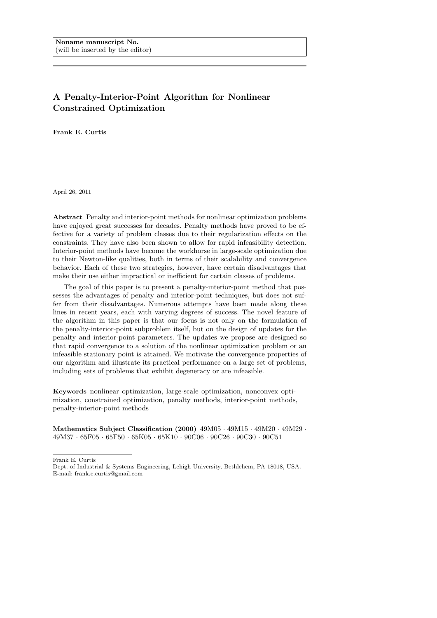# A Penalty-Interior-Point Algorithm for Nonlinear Constrained Optimization

Frank E. Curtis

April 26, 2011

Abstract Penalty and interior-point methods for nonlinear optimization problems have enjoyed great successes for decades. Penalty methods have proved to be effective for a variety of problem classes due to their regularization effects on the constraints. They have also been shown to allow for rapid infeasibility detection. Interior-point methods have become the workhorse in large-scale optimization due to their Newton-like qualities, both in terms of their scalability and convergence behavior. Each of these two strategies, however, have certain disadvantages that make their use either impractical or inefficient for certain classes of problems.

The goal of this paper is to present a penalty-interior-point method that possesses the advantages of penalty and interior-point techniques, but does not suffer from their disadvantages. Numerous attempts have been made along these lines in recent years, each with varying degrees of success. The novel feature of the algorithm in this paper is that our focus is not only on the formulation of the penalty-interior-point subproblem itself, but on the design of updates for the penalty and interior-point parameters. The updates we propose are designed so that rapid convergence to a solution of the nonlinear optimization problem or an infeasible stationary point is attained. We motivate the convergence properties of our algorithm and illustrate its practical performance on a large set of problems, including sets of problems that exhibit degeneracy or are infeasible.

Keywords nonlinear optimization, large-scale optimization, nonconvex optimization, constrained optimization, penalty methods, interior-point methods, penalty-interior-point methods

Mathematics Subject Classification (2000) 49M05 · 49M15 · 49M20 · 49M29 · 49M37 · 65F05 · 65F50 · 65K05 · 65K10 · 90C06 · 90C26 · 90C30 · 90C51

Frank E. Curtis

Dept. of Industrial & Systems Engineering, Lehigh University, Bethlehem, PA 18018, USA. E-mail: frank.e.curtis@gmail.com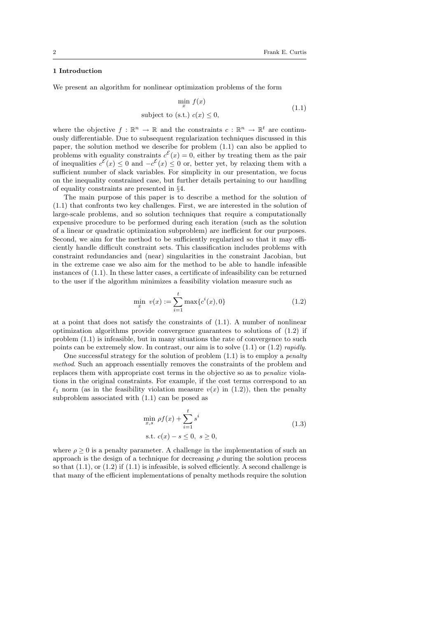# 1 Introduction

We present an algorithm for nonlinear optimization problems of the form

$$
\min_{x} f(x) \tag{1.1}
$$

subject to (s.t.)  $c(x) \leq 0$ ,

where the objective  $f : \mathbb{R}^n \to \mathbb{R}$  and the constraints  $c : \mathbb{R}^n \to \mathbb{R}^t$  are continuously differentiable. Due to subsequent regularization techniques discussed in this paper, the solution method we describe for problem (1.1) can also be applied to problems with equality constraints  $c^{\mathcal{E}}(x) = 0$ , either by treating them as the pair of inequalities  $c^{\mathcal{E}}(x) \leq 0$  and  $-c^{\mathcal{E}}(x) \leq 0$  or, better yet, by relaxing them with a sufficient number of slack variables. For simplicity in our presentation, we focus on the inequality constrained case, but further details pertaining to our handling of equality constraints are presented in §4.

The main purpose of this paper is to describe a method for the solution of (1.1) that confronts two key challenges. First, we are interested in the solution of large-scale problems, and so solution techniques that require a computationally expensive procedure to be performed during each iteration (such as the solution of a linear or quadratic optimization subproblem) are inefficient for our purposes. Second, we aim for the method to be sufficiently regularized so that it may efficiently handle difficult constraint sets. This classification includes problems with constraint redundancies and (near) singularities in the constraint Jacobian, but in the extreme case we also aim for the method to be able to handle infeasible instances of (1.1). In these latter cases, a certificate of infeasibility can be returned to the user if the algorithm minimizes a feasibility violation measure such as

$$
\min_{x} \ v(x) := \sum_{i=1}^{t} \max\{c^{i}(x), 0\} \tag{1.2}
$$

at a point that does not satisfy the constraints of (1.1). A number of nonlinear optimization algorithms provide convergence guarantees to solutions of (1.2) if problem (1.1) is infeasible, but in many situations the rate of convergence to such points can be extremely slow. In contrast, our aim is to solve  $(1.1)$  or  $(1.2)$  rapidly.

One successful strategy for the solution of problem  $(1.1)$  is to employ a *penalty* method. Such an approach essentially removes the constraints of the problem and replaces them with appropriate cost terms in the objective so as to penalize violations in the original constraints. For example, if the cost terms correspond to an  $\ell_1$  norm (as in the feasibility violation measure  $v(x)$  in (1.2)), then the penalty subproblem associated with (1.1) can be posed as

$$
\min_{x,s} \rho f(x) + \sum_{i=1}^{t} s^i
$$
  
s.t.  $c(x) - s \le 0, s \ge 0,$  (1.3)

where  $\rho \geq 0$  is a penalty parameter. A challenge in the implementation of such an approach is the design of a technique for decreasing  $\rho$  during the solution process so that  $(1.1)$ , or  $(1.2)$  if  $(1.1)$  is infeasible, is solved efficiently. A second challenge is that many of the efficient implementations of penalty methods require the solution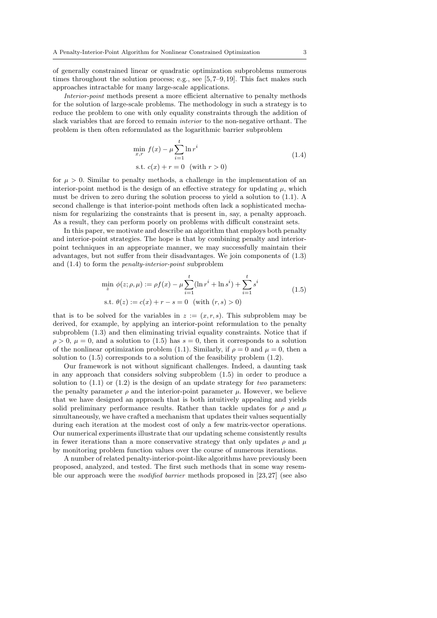of generally constrained linear or quadratic optimization subproblems numerous times throughout the solution process; e.g., see  $[5, 7-9, 19]$ . This fact makes such approaches intractable for many large-scale applications.

Interior-point methods present a more efficient alternative to penalty methods for the solution of large-scale problems. The methodology in such a strategy is to reduce the problem to one with only equality constraints through the addition of slack variables that are forced to remain *interior* to the non-negative orthant. The problem is then often reformulated as the logarithmic barrier subproblem

$$
\min_{x,r} f(x) - \mu \sum_{i=1}^{t} \ln r^{i}
$$
  
s.t.  $c(x) + r = 0$  (with  $r > 0$ ) (1.4)

for  $\mu > 0$ . Similar to penalty methods, a challenge in the implementation of an interior-point method is the design of an effective strategy for updating  $\mu$ , which must be driven to zero during the solution process to yield a solution to (1.1). A second challenge is that interior-point methods often lack a sophisticated mechanism for regularizing the constraints that is present in, say, a penalty approach. As a result, they can perform poorly on problems with difficult constraint sets.

In this paper, we motivate and describe an algorithm that employs both penalty and interior-point strategies. The hope is that by combining penalty and interiorpoint techniques in an appropriate manner, we may successfully maintain their advantages, but not suffer from their disadvantages. We join components of (1.3) and (1.4) to form the penalty-interior-point subproblem

$$
\min_{z} \phi(z; \rho, \mu) := \rho f(x) - \mu \sum_{i=1}^{t} (\ln r^{i} + \ln s^{i}) + \sum_{i=1}^{t} s^{i}
$$
\n
$$
\text{s.t. } \theta(z) := c(x) + r - s = 0 \quad \text{(with } (r, s) > 0\text{)}\tag{1.5}
$$

that is to be solved for the variables in  $z := (x, r, s)$ . This subproblem may be derived, for example, by applying an interior-point reformulation to the penalty subproblem (1.3) and then eliminating trivial equality constraints. Notice that if  $\rho > 0$ ,  $\mu = 0$ , and a solution to (1.5) has  $s = 0$ , then it corresponds to a solution of the nonlinear optimization problem (1.1). Similarly, if  $\rho = 0$  and  $\mu = 0$ , then a solution to (1.5) corresponds to a solution of the feasibility problem (1.2).

Our framework is not without significant challenges. Indeed, a daunting task in any approach that considers solving subproblem (1.5) in order to produce a solution to  $(1.1)$  or  $(1.2)$  is the design of an update strategy for two parameters: the penalty parameter  $\rho$  and the interior-point parameter  $\mu$ . However, we believe that we have designed an approach that is both intuitively appealing and yields solid preliminary performance results. Rather than tackle updates for  $\rho$  and  $\mu$ simultaneously, we have crafted a mechanism that updates their values sequentially during each iteration at the modest cost of only a few matrix-vector operations. Our numerical experiments illustrate that our updating scheme consistently results in fewer iterations than a more conservative strategy that only updates  $\rho$  and  $\mu$ by monitoring problem function values over the course of numerous iterations.

A number of related penalty-interior-point-like algorithms have previously been proposed, analyzed, and tested. The first such methods that in some way resemble our approach were the *modified barrier* methods proposed in  $[23, 27]$  (see also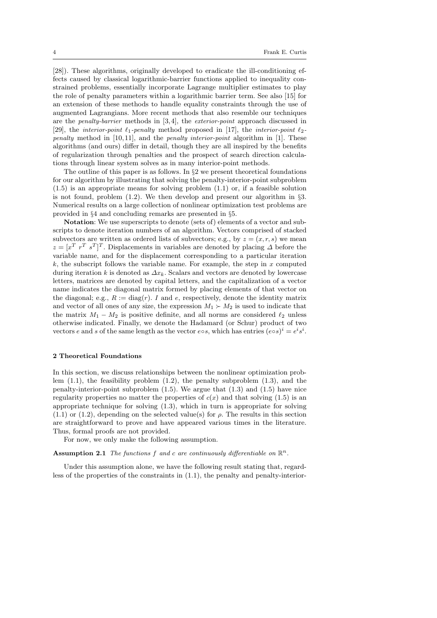[28]). These algorithms, originally developed to eradicate the ill-conditioning effects caused by classical logarithmic-barrier functions applied to inequality constrained problems, essentially incorporate Lagrange multiplier estimates to play the role of penalty parameters within a logarithmic barrier term. See also [15] for an extension of these methods to handle equality constraints through the use of augmented Lagrangians. More recent methods that also resemble our techniques are the penalty-barrier methods in [3, 4], the exterior-point approach discussed in [29], the *interior-point*  $\ell_1$ -penalty method proposed in [17], the *interior-point*  $\ell_2$ *penalty* method in [10,11], and the *penalty interior-point* algorithm in [1]. These algorithms (and ours) differ in detail, though they are all inspired by the benefits of regularization through penalties and the prospect of search direction calculations through linear system solves as in many interior-point methods.

The outline of this paper is as follows. In §2 we present theoretical foundations for our algorithm by illustrating that solving the penalty-interior-point subproblem (1.5) is an appropriate means for solving problem (1.1) or, if a feasible solution is not found, problem  $(1.2)$ . We then develop and present our algorithm in §3. Numerical results on a large collection of nonlinear optimization test problems are provided in §4 and concluding remarks are presented in §5.

Notation: We use superscripts to denote (sets of) elements of a vector and subscripts to denote iteration numbers of an algorithm. Vectors comprised of stacked subvectors are written as ordered lists of subvectors; e.g., by  $z = (x, r, s)$  we mean  $z = [x^T \, r^T \, s^T]^T$ . Displacements in variables are denoted by placing  $\Delta$  before the variable name, and for the displacement corresponding to a particular iteration  $k$ , the subscript follows the variable name. For example, the step in  $x$  computed during iteration k is denoted as  $\Delta x_k$ . Scalars and vectors are denoted by lowercase letters, matrices are denoted by capital letters, and the capitalization of a vector name indicates the diagonal matrix formed by placing elements of that vector on the diagonal; e.g.,  $R := diag(r)$ . I and e, respectively, denote the identity matrix and vector of all ones of any size, the expression  $M_1 \succ M_2$  is used to indicate that the matrix  $M_1 - M_2$  is positive definite, and all norms are considered  $\ell_2$  unless otherwise indicated. Finally, we denote the Hadamard (or Schur) product of two vectors e and s of the same length as the vector e∘s, which has entries  $(e \circ s)^i = e^i s^i$ .

### 2 Theoretical Foundations

In this section, we discuss relationships between the nonlinear optimization problem  $(1.1)$ , the feasibility problem  $(1.2)$ , the penalty subproblem  $(1.3)$ , and the penalty-interior-point subproblem (1.5). We argue that (1.3) and (1.5) have nice regularity properties no matter the properties of  $c(x)$  and that solving (1.5) is an appropriate technique for solving (1.3), which in turn is appropriate for solving  $(1.1)$  or  $(1.2)$ , depending on the selected value(s) for  $\rho$ . The results in this section are straightforward to prove and have appeared various times in the literature. Thus, formal proofs are not provided.

For now, we only make the following assumption.

**Assumption 2.1** The functions f and c are continuously differentiable on  $\mathbb{R}^n$ .

Under this assumption alone, we have the following result stating that, regardless of the properties of the constraints in (1.1), the penalty and penalty-interior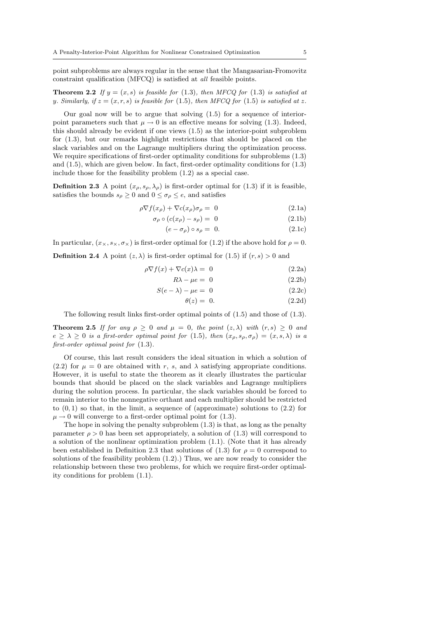point subproblems are always regular in the sense that the Mangasarian-Fromovitz constraint qualification (MFCQ) is satisfied at all feasible points.

**Theorem 2.2** If  $y = (x, s)$  is feasible for (1.3), then MFCQ for (1.3) is satisfied at y. Similarly, if  $z = (x, r, s)$  is feasible for (1.5), then MFCQ for (1.5) is satisfied at z.

Our goal now will be to argue that solving (1.5) for a sequence of interiorpoint parameters such that  $\mu \to 0$  is an effective means for solving (1.3). Indeed, this should already be evident if one views (1.5) as the interior-point subproblem for (1.3), but our remarks highlight restrictions that should be placed on the slack variables and on the Lagrange multipliers during the optimization process. We require specifications of first-order optimality conditions for subproblems (1.3) and (1.5), which are given below. In fact, first-order optimality conditions for (1.3) include those for the feasibility problem (1.2) as a special case.

**Definition 2.3** A point  $(x_{\rho}, s_{\rho}, \lambda_{\rho})$  is first-order optimal for (1.3) if it is feasible, satisfies the bounds  $s_\rho \geq 0$  and  $0 \leq \sigma_\rho \leq e$ , and satisfies

$$
\rho \nabla f(x_{\rho}) + \nabla c(x_{\rho}) \sigma_{\rho} = 0 \tag{2.1a}
$$

$$
\sigma_{\rho} \circ (c(x_{\rho}) - s_{\rho}) = 0 \tag{2.1b}
$$

$$
(e - \sigma_{\rho}) \circ s_{\rho} = 0. \tag{2.1c}
$$

In particular,  $(x_{\times}, s_{\times}, \sigma_{\times})$  is first-order optimal for (1.2) if the above hold for  $\rho = 0$ .

**Definition 2.4** A point  $(z, \lambda)$  is first-order optimal for  $(1.5)$  if  $(r, s) > 0$  and

$$
\rho \nabla f(x) + \nabla c(x)\lambda = 0 \tag{2.2a}
$$

$$
R\lambda - \mu e = 0 \tag{2.2b}
$$

$$
S(e - \lambda) - \mu e = 0 \tag{2.2c}
$$

$$
\theta(z) = 0. \tag{2.2d}
$$

The following result links first-order optimal points of (1.5) and those of (1.3).

**Theorem 2.5** If for any  $\rho \geq 0$  and  $\mu = 0$ , the point  $(z, \lambda)$  with  $(r, s) \geq 0$  and  $e \ge \lambda \ge 0$  is a first-order optimal point for (1.5), then  $(x_{\rho}, s_{\rho}, \sigma_{\rho}) = (x, s, \lambda)$  is a first-order optimal point for (1.3).

Of course, this last result considers the ideal situation in which a solution of (2.2) for  $\mu = 0$  are obtained with r, s, and  $\lambda$  satisfying appropriate conditions. However, it is useful to state the theorem as it clearly illustrates the particular bounds that should be placed on the slack variables and Lagrange multipliers during the solution process. In particular, the slack variables should be forced to remain interior to the nonnegative orthant and each multiplier should be restricted to  $(0, 1)$  so that, in the limit, a sequence of (approximate) solutions to  $(2.2)$  for  $\mu \rightarrow 0$  will converge to a first-order optimal point for (1.3).

The hope in solving the penalty subproblem (1.3) is that, as long as the penalty parameter  $\rho > 0$  has been set appropriately, a solution of (1.3) will correspond to a solution of the nonlinear optimization problem (1.1). (Note that it has already been established in Definition 2.3 that solutions of (1.3) for  $\rho = 0$  correspond to solutions of the feasibility problem (1.2).) Thus, we are now ready to consider the relationship between these two problems, for which we require first-order optimality conditions for problem (1.1).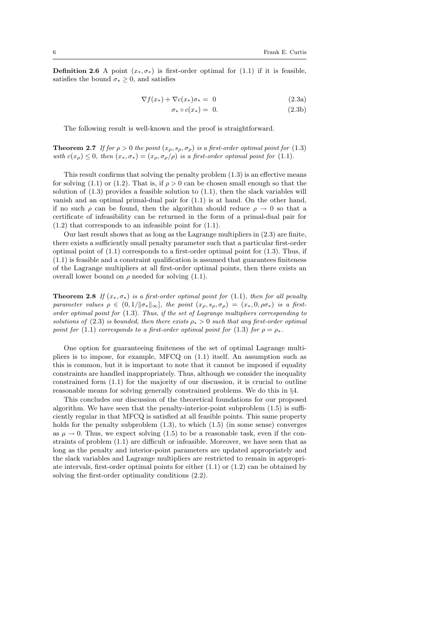**Definition 2.6** A point  $(x_*, \sigma_*)$  is first-order optimal for (1.1) if it is feasible, satisfies the bound  $\sigma_* \geq 0$ , and satisfies

$$
\nabla f(x_*) + \nabla c(x_*) \sigma_* = 0 \tag{2.3a}
$$

$$
\sigma_* \circ c(x_*) = 0. \tag{2.3b}
$$

The following result is well-known and the proof is straightforward.

**Theorem 2.7** If for  $\rho > 0$  the point  $(x_\rho, s_\rho, \sigma_\rho)$  is a first-order optimal point for (1.3) with  $c(x_\rho) \leq 0$ , then  $(x_*, \sigma_*) = (x_\rho, \sigma_0/\rho)$  is a first-order optimal point for (1.1).

This result confirms that solving the penalty problem (1.3) is an effective means for solving (1.1) or (1.2). That is, if  $\rho > 0$  can be chosen small enough so that the solution of  $(1.3)$  provides a feasible solution to  $(1.1)$ , then the slack variables will vanish and an optimal primal-dual pair for (1.1) is at hand. On the other hand, if no such  $\rho$  can be found, then the algorithm should reduce  $\rho \to 0$  so that a certificate of infeasibility can be returned in the form of a primal-dual pair for (1.2) that corresponds to an infeasible point for (1.1).

Our last result shows that as long as the Lagrange multipliers in (2.3) are finite, there exists a sufficiently small penalty parameter such that a particular first-order optimal point of  $(1.1)$  corresponds to a first-order optimal point for  $(1.3)$ . Thus, if  $(1.1)$  is feasible and a constraint qualification is assumed that guarantees finiteness of the Lagrange multipliers at all first-order optimal points, then there exists an overall lower bound on  $\rho$  needed for solving (1.1).

**Theorem 2.8** If  $(x_*, \sigma_*)$  is a first-order optimal point for (1.1), then for all penalty parameter values  $\rho \in (0, 1/\|\sigma_{*}\|_{\infty})$ , the point  $(x_{\rho}, s_{\rho}, \sigma_{\rho}) = (x_{*}, 0, \rho\sigma_{*})$  is a firstorder optimal point for (1.3). Thus, if the set of Lagrange multipliers corresponding to solutions of (2.3) is bounded, then there exists  $\rho_* > 0$  such that any first-order optimal point for (1.1) corresponds to a first-order optimal point for (1.3) for  $\rho = \rho_*$ .

One option for guaranteeing finiteness of the set of optimal Lagrange multipliers is to impose, for example, MFCQ on (1.1) itself. An assumption such as this is common, but it is important to note that it cannot be imposed if equality constraints are handled inappropriately. Thus, although we consider the inequality constrained form (1.1) for the majority of our discussion, it is crucial to outline reasonable means for solving generally constrained problems. We do this in §4.

This concludes our discussion of the theoretical foundations for our proposed algorithm. We have seen that the penalty-interior-point subproblem (1.5) is sufficiently regular in that MFCQ is satisfied at all feasible points. This same property holds for the penalty subproblem  $(1.3)$ , to which  $(1.5)$  (in some sense) converges as  $\mu \to 0$ . Thus, we expect solving (1.5) to be a reasonable task, even if the constraints of problem (1.1) are difficult or infeasible. Moreover, we have seen that as long as the penalty and interior-point parameters are updated appropriately and the slack variables and Lagrange multipliers are restricted to remain in appropriate intervals, first-order optimal points for either (1.1) or (1.2) can be obtained by solving the first-order optimality conditions (2.2).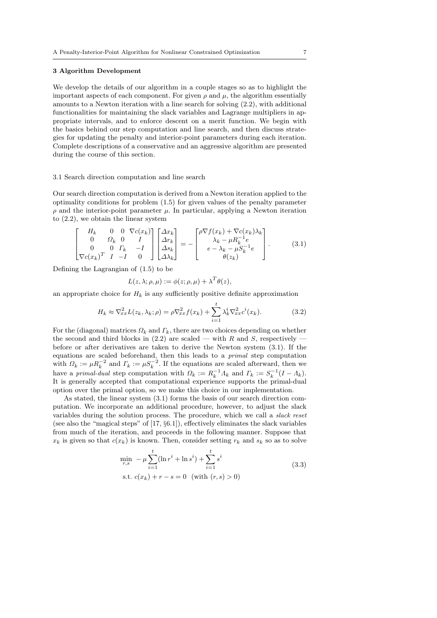## 3 Algorithm Development

We develop the details of our algorithm in a couple stages so as to highlight the important aspects of each component. For given  $\rho$  and  $\mu$ , the algorithm essentially amounts to a Newton iteration with a line search for solving (2.2), with additional functionalities for maintaining the slack variables and Lagrange multipliers in appropriate intervals, and to enforce descent on a merit function. We begin with the basics behind our step computation and line search, and then discuss strategies for updating the penalty and interior-point parameters during each iteration. Complete descriptions of a conservative and an aggressive algorithm are presented during the course of this section.

## 3.1 Search direction computation and line search

Our search direction computation is derived from a Newton iteration applied to the optimality conditions for problem (1.5) for given values of the penalty parameter  $\rho$  and the interior-point parameter  $\mu$ . In particular, applying a Newton iteration to (2.2), we obtain the linear system

$$
\begin{bmatrix}\nH_k & 0 & 0 & \nabla c(x_k) \\
0 & \Omega_k & 0 & I \\
0 & 0 & \Gamma_k & -I \\
\nabla c(x_k)^T & I & -I & 0\n\end{bmatrix}\n\begin{bmatrix}\n\Delta x_k \\
\Delta r_k \\
\Delta s_k \\
\Delta \lambda_k\n\end{bmatrix} = -\n\begin{bmatrix}\n\rho \nabla f(x_k) + \nabla c(x_k) \lambda_k \\
\lambda_k - \mu R_k^{-1} e \\
e - \lambda_k - \mu S_k^{-1} e \\
\theta(z_k)\n\end{bmatrix}.
$$
\n(3.1)

Defining the Lagrangian of (1.5) to be

$$
L(z, \lambda; \rho, \mu) := \phi(z; \rho, \mu) + \lambda^T \theta(z),
$$

an appropriate choice for  $H_k$  is any sufficiently positive definite approximation

$$
H_k \approx \nabla_{xx}^2 L(z_k, \lambda_k; \rho) = \rho \nabla_{xx}^2 f(x_k) + \sum_{i=1}^t \lambda_k^i \nabla_{xx}^2 c^i(x_k).
$$
 (3.2)

For the (diagonal) matrices  $\Omega_k$  and  $\Gamma_k$ , there are two choices depending on whether the second and third blocks in  $(2.2)$  are scaled — with R and S, respectively before or after derivatives are taken to derive the Newton system (3.1). If the equations are scaled beforehand, then this leads to a primal step computation with  $\Omega_k := \mu R_k^{-2}$  and  $\Gamma_k := \mu S_k^{-2}$ . If the equations are scaled afterward, then we have a primal-dual step computation with  $\Omega_k := R_k^{-1} \Lambda_k$  and  $\Gamma_k := S_k^{-1} (I - \Lambda_k)$ . It is generally accepted that computational experience supports the primal-dual option over the primal option, so we make this choice in our implementation.

As stated, the linear system (3.1) forms the basis of our search direction computation. We incorporate an additional procedure, however, to adjust the slack variables during the solution process. The procedure, which we call a slack reset (see also the "magical steps" of  $[17, §6.1]$ ), effectively eliminates the slack variables from much of the iteration, and proceeds in the following manner. Suppose that  $x_k$  is given so that  $c(x_k)$  is known. Then, consider setting  $r_k$  and  $s_k$  so as to solve

$$
\min_{r,s} - \mu \sum_{i=1}^{t} (\ln r^i + \ln s^i) + \sum_{i=1}^{t} s^i
$$
\n
$$
\text{s.t. } c(x_k) + r - s = 0 \quad \text{(with } (r,s) > 0\text{)}
$$
\n(3.3)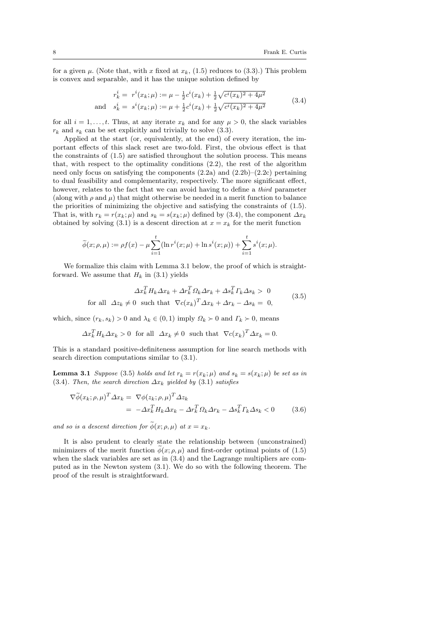for a given  $\mu$ . (Note that, with x fixed at  $x_k$ , (1.5) reduces to (3.3).) This problem is convex and separable, and it has the unique solution defined by

$$
r_k^i = r^i(x_k; \mu) := \mu - \frac{1}{2}c^i(x_k) + \frac{1}{2}\sqrt{c^i(x_k)^2 + 4\mu^2}
$$
  
and 
$$
s_k^i = s^i(x_k; \mu) := \mu + \frac{1}{2}c^i(x_k) + \frac{1}{2}\sqrt{c^i(x_k)^2 + 4\mu^2}
$$
(3.4)

for all  $i = 1, \ldots, t$ . Thus, at any iterate  $x_k$  and for any  $\mu > 0$ , the slack variables  $r_k$  and  $s_k$  can be set explicitly and trivially to solve  $(3.3)$ .

Applied at the start (or, equivalently, at the end) of every iteration, the important effects of this slack reset are two-fold. First, the obvious effect is that the constraints of (1.5) are satisfied throughout the solution process. This means that, with respect to the optimality conditions (2.2), the rest of the algorithm need only focus on satisfying the components  $(2.2a)$  and  $(2.2b)$ – $(2.2c)$  pertaining to dual feasibility and complementarity, respectively. The more significant effect, however, relates to the fact that we can avoid having to define a *third* parameter (along with  $\rho$  and  $\mu$ ) that might otherwise be needed in a merit function to balance the priorities of minimizing the objective and satisfying the constraints of (1.5). That is, with  $r_k = r(x_k; \mu)$  and  $s_k = s(x_k; \mu)$  defined by (3.4), the component  $\Delta x_k$ obtained by solving (3.1) is a descent direction at  $x = x_k$  for the merit function

$$
\widetilde{\phi}(x;\rho,\mu) := \rho f(x) - \mu \sum_{i=1}^t (\ln r^i(x;\mu) + \ln s^i(x;\mu)) + \sum_{i=1}^t s^i(x;\mu).
$$

We formalize this claim with Lemma 3.1 below, the proof of which is straightforward. We assume that  $H_k$  in (3.1) yields

$$
\Delta x_k^T H_k \Delta x_k + \Delta r_k^T \Omega_k \Delta r_k + \Delta s_k^T \Gamma_k \Delta s_k > 0
$$
  
for all  $\Delta z_k \neq 0$  such that  $\nabla c(x_k)^T \Delta x_k + \Delta r_k - \Delta s_k = 0,$  (3.5)

which, since  $(r_k, s_k) > 0$  and  $\lambda_k \in (0, 1)$  imply  $\Omega_k \succ 0$  and  $\Gamma_k \succ 0$ , means

$$
\Delta x_k^T H_k \Delta x_k > 0 \text{ for all } \Delta x_k \neq 0 \text{ such that } \nabla c(x_k)^T \Delta x_k = 0.
$$

This is a standard positive-definiteness assumption for line search methods with search direction computations similar to (3.1).

**Lemma 3.1** Suppose (3.5) holds and let  $r_k = r(x_k; \mu)$  and  $s_k = s(x_k; \mu)$  be set as in (3.4). Then, the search direction  $\Delta x_k$  yielded by (3.1) satisfies

$$
\nabla \widetilde{\phi}(x_k; \rho, \mu)^T \Delta x_k = \nabla \phi(z_k; \rho, \mu)^T \Delta z_k
$$
  
= 
$$
-\Delta x_k^T H_k \Delta x_k - \Delta r_k^T \Omega_k \Delta r_k - \Delta s_k^T \Gamma_k \Delta s_k < 0
$$
 (3.6)

and so is a descent direction for  $\widetilde{\phi}(x; \rho, \mu)$  at  $x = x_k$ .

It is also prudent to clearly state the relationship between (unconstrained) minimizers of the merit function  $\phi(x; \rho, \mu)$  and first-order optimal points of (1.5) when the slack variables are set as in (3.4) and the Lagrange multipliers are computed as in the Newton system (3.1). We do so with the following theorem. The proof of the result is straightforward.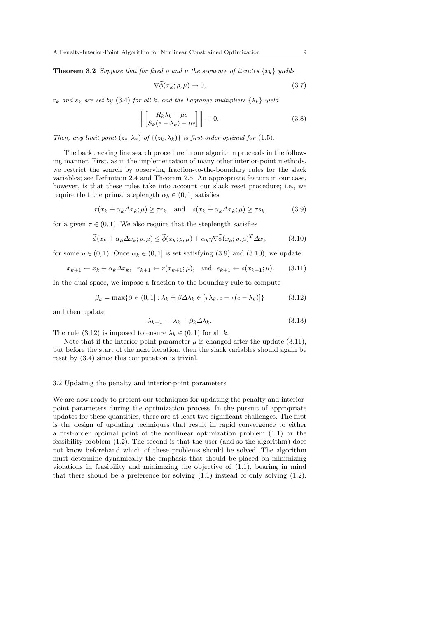**Theorem 3.2** Suppose that for fixed  $\rho$  and  $\mu$  the sequence of iterates  $\{x_k\}$  yields

$$
\nabla \widetilde{\phi}(x_k; \rho, \mu) \to 0,\tag{3.7}
$$

 $r_k$  and  $s_k$  are set by (3.4) for all k, and the Lagrange multipliers  $\{\lambda_k\}$  yield

$$
\left\| \begin{bmatrix} R_k \lambda_k - \mu e \\ S_k (e - \lambda_k) - \mu e \end{bmatrix} \right\| \to 0.
$$
 (3.8)

Then, any limit point  $(z_*, \lambda_*)$  of  $\{(z_k, \lambda_k)\}\$ is first-order optimal for  $(1.5)$ .

The backtracking line search procedure in our algorithm proceeds in the following manner. First, as in the implementation of many other interior-point methods, we restrict the search by observing fraction-to-the-boundary rules for the slack variables; see Definition 2.4 and Theorem 2.5. An appropriate feature in our case, however, is that these rules take into account our slack reset procedure; i.e., we require that the primal steplength  $\alpha_k \in (0,1]$  satisfies

$$
r(x_k + \alpha_k \Delta x_k; \mu) \ge \tau r_k \quad \text{and} \quad s(x_k + \alpha_k \Delta x_k; \mu) \ge \tau s_k \tag{3.9}
$$

for a given  $\tau \in (0,1)$ . We also require that the steplength satisfies

$$
\widetilde{\phi}(x_k + \alpha_k \Delta x_k; \rho, \mu) \le \widetilde{\phi}(x_k; \rho, \mu) + \alpha_k \eta \nabla \widetilde{\phi}(x_k; \rho, \mu)^T \Delta x_k \tag{3.10}
$$

for some  $\eta \in (0,1)$ . Once  $\alpha_k \in (0,1]$  is set satisfying (3.9) and (3.10), we update

$$
x_{k+1} \leftarrow x_k + \alpha_k \Delta x_k, \quad r_{k+1} \leftarrow r(x_{k+1}; \mu), \quad \text{and} \quad s_{k+1} \leftarrow s(x_{k+1}; \mu).
$$
 (3.11)

In the dual space, we impose a fraction-to-the-boundary rule to compute

$$
\beta_k = \max\{\beta \in (0, 1] : \lambda_k + \beta \Delta \lambda_k \in [\tau \lambda_k, e - \tau(e - \lambda_k)]\}
$$
(3.12)

and then update

$$
\lambda_{k+1} \leftarrow \lambda_k + \beta_k \Delta \lambda_k. \tag{3.13}
$$

The rule (3.12) is imposed to ensure  $\lambda_k \in (0,1)$  for all k.

Note that if the interior-point parameter  $\mu$  is changed after the update (3.11), but before the start of the next iteration, then the slack variables should again be reset by (3.4) since this computation is trivial.

# 3.2 Updating the penalty and interior-point parameters

We are now ready to present our techniques for updating the penalty and interiorpoint parameters during the optimization process. In the pursuit of appropriate updates for these quantities, there are at least two significant challenges. The first is the design of updating techniques that result in rapid convergence to either a first-order optimal point of the nonlinear optimization problem (1.1) or the feasibility problem (1.2). The second is that the user (and so the algorithm) does not know beforehand which of these problems should be solved. The algorithm must determine dynamically the emphasis that should be placed on minimizing violations in feasibility and minimizing the objective of  $(1.1)$ , bearing in mind that there should be a preference for solving  $(1.1)$  instead of only solving  $(1.2)$ .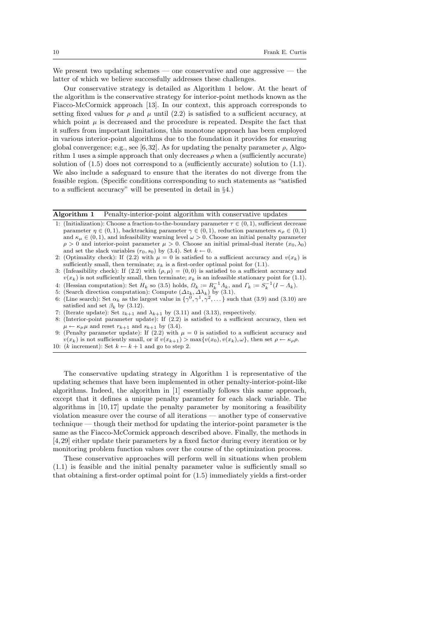We present two updating schemes — one conservative and one aggressive — the latter of which we believe successfully addresses these challenges.

Our conservative strategy is detailed as Algorithm 1 below. At the heart of the algorithm is the conservative strategy for interior-point methods known as the Fiacco-McCormick approach [13]. In our context, this approach corresponds to setting fixed values for  $\rho$  and  $\mu$  until (2.2) is satisfied to a sufficient accuracy, at which point  $\mu$  is decreased and the procedure is repeated. Despite the fact that it suffers from important limitations, this monotone approach has been employed in various interior-point algorithms due to the foundation it provides for ensuring global convergence; e.g., see [6,32]. As for updating the penalty parameter  $\rho$ , Algorithm 1 uses a simple approach that only decreases  $\rho$  when a (sufficiently accurate) solution of (1.5) does not correspond to a (sufficiently accurate) solution to (1.1). We also include a safeguard to ensure that the iterates do not diverge from the feasible region. (Specific conditions corresponding to such statements as "satisfied to a sufficient accuracy" will be presented in detail in §4.)

Algorithm 1 Penalty-interior-point algorithm with conservative updates

- 1: (Initialization): Choose a fraction-to-the-boundary parameter  $\tau \in (0, 1)$ , sufficient decrease parameter  $\eta \in (0,1)$ , backtracking parameter  $\gamma \in (0,1)$ , reduction parameters  $\kappa_{\rho} \in (0,1)$ and  $\kappa_{\mu} \in (0, 1)$ , and infeasibility warning level  $\omega > 0$ . Choose an initial penalty parameter  $\rho > 0$  and interior-point parameter  $\mu > 0$ . Choose an initial primal-dual iterate  $(x_0, \lambda_0)$ and set the slack variables  $(r_0, s_0)$  by  $(3.4)$ . Set  $k \leftarrow 0$ .
- 2: (Optimality check): If (2.2) with  $\mu = 0$  is satisfied to a sufficient accuracy and  $v(x_k)$  is sufficiently small, then terminate;  $x_k$  is a first-order optimal point for (1.1).
- 3: (Infeasibility check): If (2.2) with  $(\rho, \mu) = (0, 0)$  is satisfied to a sufficient accuracy and  $v(x_k)$  is not sufficiently small, then terminate;  $x_k$  is an infeasible stationary point for (1.1).
- 4: (Hessian computation): Set  $H_k$  so (3.5) holds,  $\Omega_k := R_k^{-1} \Lambda_k$ , and  $\Gamma_k := S_k^{-1} (I \Lambda_k)$ .
- 5: (Search direction computation): Compute  $(\Delta z_k, \Delta \lambda_k)$  by (3.1).
- 6: (Line search): Set  $\alpha_k$  as the largest value in  $\{\gamma^0, \gamma^1, \gamma^2, \dots\}$  such that (3.9) and (3.10) are satisfied and set  $\beta_k$  by (3.12).
- 7: (Iterate update): Set  $z_{k+1}$  and  $\lambda_{k+1}$  by (3.11) and (3.13), respectively.
- 8: (Interior-point parameter update): If (2.2) is satisfied to a sufficient accuracy, then set  $\mu \leftarrow \kappa_{\mu} \mu$  and reset  $r_{k+1}$  and  $s_{k+1}$  by (3.4).
- 9: (Penalty parameter update): If (2.2) with  $\mu = 0$  is satisfied to a sufficient accuracy and  $v(x_k)$  is not sufficiently small, or if  $v(x_{k+1}) > \max\{v(x_0), v(x_k), \omega\}$ , then set  $\rho \leftarrow \kappa_\rho \rho$ .

10: (k increment): Set  $k \leftarrow k+1$  and go to step 2.

The conservative updating strategy in Algorithm 1 is representative of the updating schemes that have been implemented in other penalty-interior-point-like algorithms. Indeed, the algorithm in [1] essentially follows this same approach, except that it defines a unique penalty parameter for each slack variable. The algorithms in  $[10, 17]$  update the penalty parameter by monitoring a feasibility violation measure over the course of all iterations — another type of conservative technique — though their method for updating the interior-point parameter is the same as the Fiacco-McCormick approach described above. Finally, the methods in [4, 29] either update their parameters by a fixed factor during every iteration or by monitoring problem function values over the course of the optimization process.

These conservative approaches will perform well in situations when problem (1.1) is feasible and the initial penalty parameter value is sufficiently small so that obtaining a first-order optimal point for (1.5) immediately yields a first-order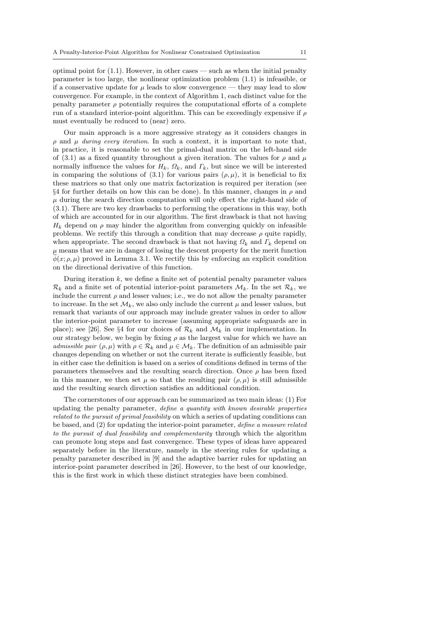optimal point for  $(1.1)$ . However, in other cases — such as when the initial penalty parameter is too large, the nonlinear optimization problem (1.1) is infeasible, or if a conservative update for  $\mu$  leads to slow convergence — they may lead to slow convergence. For example, in the context of Algorithm 1, each distinct value for the penalty parameter  $\rho$  potentially requires the computational efforts of a complete run of a standard interior-point algorithm. This can be exceedingly expensive if  $\rho$ must eventually be reduced to (near) zero.

Our main approach is a more aggressive strategy as it considers changes in  $ρ$  and  $μ$  during every iteration. In such a context, it is important to note that, in practice, it is reasonable to set the primal-dual matrix on the left-hand side of (3.1) as a fixed quantity throughout a given iteration. The values for  $\rho$  and  $\mu$ normally influence the values for  $H_k$ ,  $\Omega_k$ , and  $\Gamma_k$ , but since we will be interested in comparing the solutions of (3.1) for various pairs  $(\rho, \mu)$ , it is beneficial to fix these matrices so that only one matrix factorization is required per iteration (see  $§4$  for further details on how this can be done). In this manner, changes in  $\rho$  and  $\mu$  during the search direction computation will only effect the right-hand side of (3.1). There are two key drawbacks to performing the operations in this way, both of which are accounted for in our algorithm. The first drawback is that not having  $H_k$  depend on  $\rho$  may hinder the algorithm from converging quickly on infeasible problems. We rectify this through a condition that may decrease  $\rho$  quite rapidly, when appropriate. The second drawback is that not having  $\Omega_k$  and  $\Gamma_k$  depend on  $\mu$  means that we are in danger of losing the descent property for the merit function  $\phi(x; \rho, \mu)$  proved in Lemma 3.1. We rectify this by enforcing an explicit condition on the directional derivative of this function.

During iteration  $k$ , we define a finite set of potential penalty parameter values  $\mathcal{R}_k$  and a finite set of potential interior-point parameters  $\mathcal{M}_k$ . In the set  $\mathcal{R}_k$ , we include the current  $\rho$  and lesser values; i.e., we do not allow the penalty parameter to increase. In the set  $\mathcal{M}_k$ , we also only include the current  $\mu$  and lesser values, but remark that variants of our approach may include greater values in order to allow the interior-point parameter to increase (assuming appropriate safeguards are in place); see [26]. See §4 for our choices of  $\mathcal{R}_k$  and  $\mathcal{M}_k$  in our implementation. In our strategy below, we begin by fixing  $\rho$  as the largest value for which we have an admissible pair  $(\rho, \mu)$  with  $\rho \in \mathcal{R}_k$  and  $\mu \in \mathcal{M}_k$ . The definition of an admissible pair changes depending on whether or not the current iterate is sufficiently feasible, but in either case the definition is based on a series of conditions defined in terms of the parameters themselves and the resulting search direction. Once  $\rho$  has been fixed in this manner, we then set  $\mu$  so that the resulting pair  $(\rho, \mu)$  is still admissible and the resulting search direction satisfies an additional condition.

The cornerstones of our approach can be summarized as two main ideas: (1) For updating the penalty parameter, define a quantity with known desirable properties related to the pursuit of primal feasibility on which a series of updating conditions can be based, and (2) for updating the interior-point parameter, define a measure related to the pursuit of dual feasibility and complementarity through which the algorithm can promote long steps and fast convergence. These types of ideas have appeared separately before in the literature, namely in the steering rules for updating a penalty parameter described in [9] and the adaptive barrier rules for updating an interior-point parameter described in [26]. However, to the best of our knowledge, this is the first work in which these distinct strategies have been combined.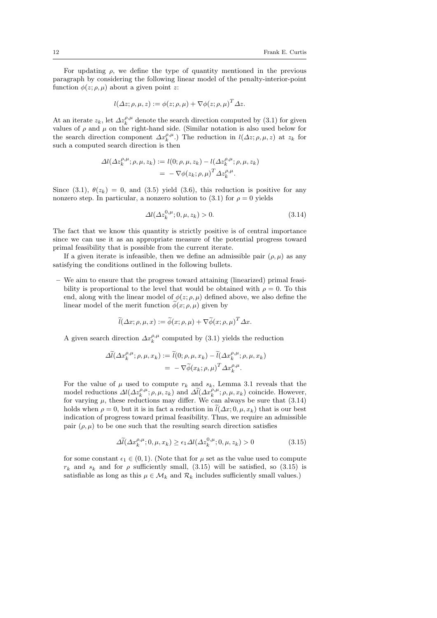For updating  $\rho$ , we define the type of quantity mentioned in the previous paragraph by considering the following linear model of the penalty-interior-point function  $\phi(z; \rho, \mu)$  about a given point z:

$$
l(\Delta z; \rho, \mu, z) := \phi(z; \rho, \mu) + \nabla \phi(z; \rho, \mu)^T \Delta z.
$$

At an iterate  $z_k$ , let  $\Delta z_k^{\rho,\mu}$  denote the search direction computed by (3.1) for given values of  $\rho$  and  $\mu$  on the right-hand side. (Similar notation is also used below for the search direction component  $\Delta x_k^{\rho,\mu}$ .) The reduction in  $l(\Delta z; \rho,\mu,z)$  at  $z_k$  for such a computed search direction is then

$$
\Delta l(\Delta z_k^{\rho,\mu}; \rho, \mu, z_k) := l(0; \rho, \mu, z_k) - l(\Delta z_k^{\rho,\mu}; \rho, \mu, z_k)
$$
  
= - \nabla \phi(z\_k; \rho, \mu)^T \Delta z\_k^{\rho,\mu}.

Since (3.1),  $\theta(z_k) = 0$ , and (3.5) yield (3.6), this reduction is positive for any nonzero step. In particular, a nonzero solution to (3.1) for  $\rho = 0$  yields

$$
\Delta l(\Delta z_k^{0,\mu}; 0, \mu, z_k) > 0. \tag{3.14}
$$

The fact that we know this quantity is strictly positive is of central importance since we can use it as an appropriate measure of the potential progress toward primal feasibility that is possible from the current iterate.

If a given iterate is infeasible, then we define an admissible pair  $(\rho, \mu)$  as any satisfying the conditions outlined in the following bullets.

– We aim to ensure that the progress toward attaining (linearized) primal feasibility is proportional to the level that would be obtained with  $\rho = 0$ . To this end, along with the linear model of  $\phi(z; \rho, \mu)$  defined above, we also define the linear model of the merit function  $\widetilde{\phi}(x; \rho, \mu)$  given by

$$
\widetilde{l}(\Delta x; \rho, \mu, x) := \widetilde{\phi}(x; \rho, \mu) + \nabla \widetilde{\phi}(x; \rho, \mu)^T \Delta x.
$$

A given search direction  $\Delta x_k^{\rho,\mu}$  computed by (3.1) yields the reduction

$$
\begin{split} \Delta \widetilde{l}(\Delta x_k^{\rho,\mu};\rho,\mu,x_k) &:= \widetilde{l}(0;\rho,\mu,x_k) - \widetilde{l}(\Delta x_k^{\rho,\mu};\rho,\mu,x_k) \\ & = -\nabla \widetilde{\phi}(x_k;\rho,\mu)^T \Delta x_k^{\rho,\mu}. \end{split}
$$

For the value of  $\mu$  used to compute  $r_k$  and  $s_k$ , Lemma 3.1 reveals that the model reductions  $\Delta l(\Delta z_k^{\rho,\mu}; \rho,\mu,z_k)$  and  $\Delta l(\Delta x_k^{\rho,\mu}; \rho,\mu,x_k)$  coincide. However, for varying  $\mu$ , these reductions may differ. We can always be sure that  $(3.14)$ holds when  $\rho = 0$ , but it is in fact a reduction in  $\tilde{l}(\Delta x; 0, \mu, x_k)$  that is our best indication of progress toward primal feasibility. Thus, we require an admissible pair  $(\rho, \mu)$  to be one such that the resulting search direction satisfies

$$
\Delta \tilde{l}(\Delta x_k^{\rho,\mu}; 0, \mu, x_k) \ge \epsilon_1 \Delta l(\Delta z_k^{0,\mu}; 0, \mu, z_k) > 0 \tag{3.15}
$$

for some constant  $\epsilon_1 \in (0, 1)$ . (Note that for  $\mu$  set as the value used to compute  $r_k$  and  $s_k$  and for  $\rho$  sufficiently small, (3.15) will be satisfied, so (3.15) is satisfiable as long as this  $\mu \in \mathcal{M}_k$  and  $\mathcal{R}_k$  includes sufficiently small values.)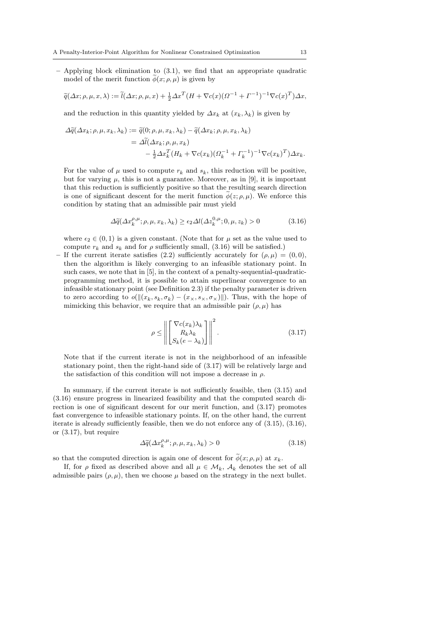$-$  Applying block elimination to  $(3.1)$ , we find that an appropriate quadratic model of the merit function  $\phi(x; \rho, \mu)$  is given by

$$
\widetilde{q}(\Delta x; \rho, \mu, x, \lambda) := \widetilde{l}(\Delta x; \rho, \mu, x) + \frac{1}{2} \Delta x^T (H + \nabla c(x) (Q^{-1} + \Gamma^{-1})^{-1} \nabla c(x)^T) \Delta x,
$$

and the reduction in this quantity yielded by  $\Delta x_k$  at  $(x_k, \lambda_k)$  is given by

$$
\Delta \widetilde{q}(\Delta x_k; \rho, \mu, x_k, \lambda_k) := \widetilde{q}(0; \rho, \mu, x_k, \lambda_k) - \widetilde{q}(\Delta x_k; \rho, \mu, x_k, \lambda_k)
$$
  
= 
$$
\Delta \widetilde{l}(\Delta x_k; \rho, \mu, x_k)
$$
  

$$
- \frac{1}{2} \Delta x_k^T (H_k + \nabla c(x_k) (\Omega_k^{-1} + \Gamma_k^{-1})^{-1} \nabla c(x_k)^T) \Delta x_k.
$$

For the value of  $\mu$  used to compute  $r_k$  and  $s_k$ , this reduction will be positive, but for varying  $\mu$ , this is not a guarantee. Moreover, as in [9], it is important that this reduction is sufficiently positive so that the resulting search direction is one of significant descent for the merit function  $\tilde{\phi}(z; \rho, \mu)$ . We enforce this condition by stating that an admissible pair must yield

$$
\Delta \tilde{q}(\Delta x_k^{\rho,\mu}; \rho, \mu, x_k, \lambda_k) \ge \epsilon_2 \Delta l(\Delta z_k^{0,\mu}; 0, \mu, z_k) > 0 \tag{3.16}
$$

where  $\epsilon_2 \in (0, 1)$  is a given constant. (Note that for  $\mu$  set as the value used to compute  $r_k$  and  $s_k$  and for  $\rho$  sufficiently small, (3.16) will be satisfied.)

If the current iterate satisfies (2.2) sufficiently accurately for  $(\rho, \mu) = (0, 0)$ , then the algorithm is likely converging to an infeasible stationary point. In such cases, we note that in [5], in the context of a penalty-sequential-quadraticprogramming method, it is possible to attain superlinear convergence to an infeasible stationary point (see Definition 2.3) if the penalty parameter is driven to zero according to  $o(||(x_k, s_k, \sigma_k) - (x_k, s_k, \sigma_k)||)$ . Thus, with the hope of mimicking this behavior, we require that an admissible pair  $(\rho, \mu)$  has

$$
\rho \leq \left\| \begin{bmatrix} \nabla c(x_k) \lambda_k \\ R_k \lambda_k \\ S_k(e - \lambda_k) \end{bmatrix} \right\|^2.
$$
\n(3.17)

Note that if the current iterate is not in the neighborhood of an infeasible stationary point, then the right-hand side of (3.17) will be relatively large and the satisfaction of this condition will not impose a decrease in  $\rho$ .

In summary, if the current iterate is not sufficiently feasible, then (3.15) and (3.16) ensure progress in linearized feasibility and that the computed search direction is one of significant descent for our merit function, and (3.17) promotes fast convergence to infeasible stationary points. If, on the other hand, the current iterate is already sufficiently feasible, then we do not enforce any of (3.15), (3.16), or (3.17), but require

$$
\Delta \widetilde{q}(\Delta x_k^{\rho,\mu}; \rho, \mu, x_k, \lambda_k) > 0 \tag{3.18}
$$

so that the computed direction is again one of descent for  $\phi(x; \rho, \mu)$  at  $x_k$ .

If, for  $\rho$  fixed as described above and all  $\mu \in \mathcal{M}_k$ ,  $\mathcal{A}_k$  denotes the set of all admissible pairs  $(\rho, \mu)$ , then we choose  $\mu$  based on the strategy in the next bullet.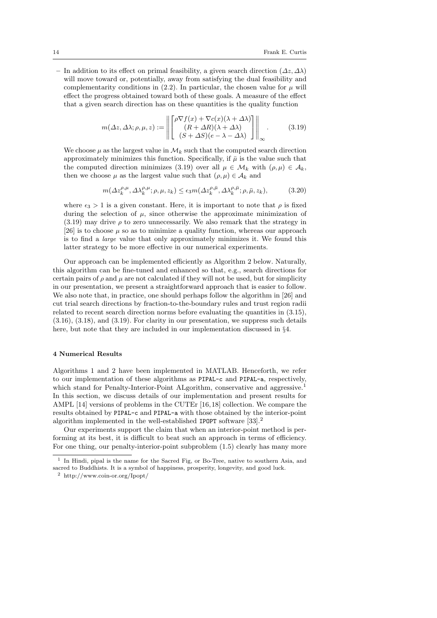– In addition to its effect on primal feasibility, a given search direction  $(\Delta z, \Delta \lambda)$ will move toward or, potentially, away from satisfying the dual feasibility and complementarity conditions in  $(2.2)$ . In particular, the chosen value for  $\mu$  will effect the progress obtained toward both of these goals. A measure of the effect that a given search direction has on these quantities is the quality function

$$
m(\Delta z, \Delta \lambda; \rho, \mu, z) := \left\| \begin{bmatrix} \rho \nabla f(x) + \nabla c(x)(\lambda + \Delta \lambda) \\ (R + \Delta R)(\lambda + \Delta \lambda) \\ (S + \Delta S)(e - \lambda - \Delta \lambda) \end{bmatrix} \right\|_{\infty}.
$$
 (3.19)

We choose  $\mu$  as the largest value in  $\mathcal{M}_k$  such that the computed search direction approximately minimizes this function. Specifically, if  $\bar{\mu}$  is the value such that the computed direction minimizes (3.19) over all  $\mu \in \mathcal{M}_k$  with  $(\rho, \mu) \in \mathcal{A}_k$ , then we choose  $\mu$  as the largest value such that  $(\rho, \mu) \in A_k$  and

$$
m(\Delta z_k^{\rho,\mu}, \Delta \lambda_k^{\rho,\mu}; \rho, \mu, z_k) \le \epsilon_3 m(\Delta z_k^{\rho,\bar{\mu}}, \Delta \lambda_k^{\rho,\bar{\mu}}; \rho, \bar{\mu}, z_k),
$$
(3.20)

where  $\epsilon_3 > 1$  is a given constant. Here, it is important to note that  $\rho$  is fixed during the selection of  $\mu$ , since otherwise the approximate minimization of  $(3.19)$  may drive  $\rho$  to zero unnecessarily. We also remark that the strategy in [26] is to choose  $\mu$  so as to minimize a quality function, whereas our approach is to find a large value that only approximately minimizes it. We found this latter strategy to be more effective in our numerical experiments.

Our approach can be implemented efficiently as Algorithm 2 below. Naturally, this algorithm can be fine-tuned and enhanced so that, e.g., search directions for certain pairs of  $\rho$  and  $\mu$  are not calculated if they will not be used, but for simplicity in our presentation, we present a straightforward approach that is easier to follow. We also note that, in practice, one should perhaps follow the algorithm in [26] and cut trial search directions by fraction-to-the-boundary rules and trust region radii related to recent search direction norms before evaluating the quantities in (3.15), (3.16), (3.18), and (3.19). For clarity in our presentation, we suppress such details here, but note that they are included in our implementation discussed in §4.

### 4 Numerical Results

Algorithms 1 and 2 have been implemented in MATLAB. Henceforth, we refer to our implementation of these algorithms as PIPAL-c and PIPAL-a, respectively, which stand for Penalty-Interior-Point ALgorithm, conservative and aggressive. In this section, we discuss details of our implementation and present results for AMPL [14] versions of problems in the CUTEr [16, 18] collection. We compare the results obtained by PIPAL-c and PIPAL-a with those obtained by the interior-point algorithm implemented in the well-established IPOPT software  $[33]$ <sup>2</sup>

Our experiments support the claim that when an interior-point method is performing at its best, it is difficult to beat such an approach in terms of efficiency. For one thing, our penalty-interior-point subproblem (1.5) clearly has many more

<sup>&</sup>lt;sup>1</sup> In Hindi, pipal is the name for the Sacred Fig, or Bo-Tree, native to southern Asia, and sacred to Buddhists. It is a symbol of happiness, prosperity, longevity, and good luck.

 $^2\,$ http://www.coin-or.org/Ipopt/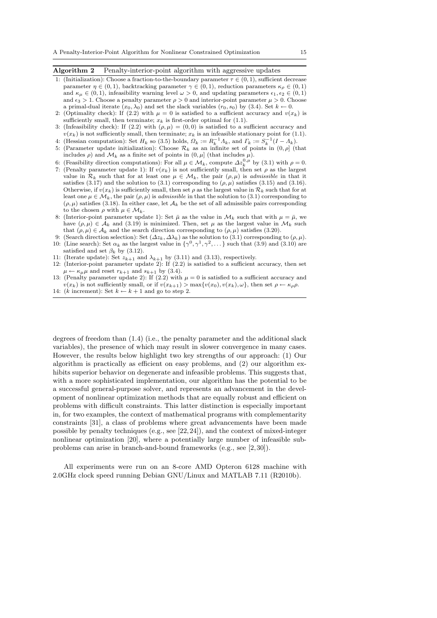# Algorithm 2 Penalty-interior-point algorithm with aggressive updates

- 1: (Initialization): Choose a fraction-to-the-boundary parameter  $\tau \in (0, 1)$ , sufficient decrease parameter  $\eta \in (0,1)$ , backtracking parameter  $\gamma \in (0,1)$ , reduction parameters  $\kappa_{\rho} \in (0,1)$ and  $\kappa_{\mu} \in (0, 1)$ , infeasibility warning level  $\omega > 0$ , and updating parameters  $\epsilon_1, \epsilon_2 \in (0, 1)$ and  $\epsilon_3 > 1$ . Choose a penalty parameter  $\rho > 0$  and interior-point parameter  $\mu > 0$ . Choose a primal-dual iterate  $(x_0, \lambda_0)$  and set the slack variables  $(r_0, s_0)$  by (3.4). Set  $k \leftarrow 0$ .
- 2: (Optimality check): If (2.2) with  $\mu = 0$  is satisfied to a sufficient accuracy and  $v(x_k)$  is sufficiently small, then terminate;  $x_k$  is first-order optimal for  $(1.1)$ .
- 3: (Infeasibility check): If (2.2) with  $(\rho, \mu) = (0, 0)$  is satisfied to a sufficient accuracy and  $v(x_k)$  is not sufficiently small, then terminate;  $x_k$  is an infeasible stationary point for (1.1).
- 4: (Hessian computation): Set  $H_k$  so (3.5) holds,  $\Omega_k := R_k^{-1} \Lambda_k$ , and  $\Gamma_k := S_k^{-1} (I \Lambda_k)$ . 5: (Parameter update initialization): Choose  $\mathcal{R}_k$  as an infinite set of points in  $(0, \rho]$  (that
- includes  $\rho$ ) and  $\mathcal{M}_k$  as a finite set of points in  $(0, \mu]$  (that includes  $\mu$ ).
- 6: (Feasibility direction computations): For all  $\mu \in \mathcal{M}_k$ , compute  $\Delta z_k^{0,\mu}$  by (3.1) with  $\rho = 0$ .
- 7: (Penalty parameter update 1): If  $v(x_k)$  is not sufficiently small, then set  $\rho$  as the largest value in  $\mathcal{R}_k$  such that for at least one  $\mu \in \mathcal{M}_k$ , the pair  $(\rho, \mu)$  is *admissible* in that it satisfies (3.17) and the solution to (3.1) corresponding to  $(\rho, \mu)$  satisfies (3.15) and (3.16). Otherwise, if  $v(x_k)$  is sufficiently small, then set  $\rho$  as the largest value in  $\mathcal{R}_k$  such that for at least one  $\mu \in \mathcal{M}_k$ , the pair  $(\rho, \mu)$  is *admissible* in that the solution to (3.1) corresponding to  $(\rho, \mu)$  satisfies (3.18). In either case, let  $\mathcal{A}_k$  be the set of all admissible pairs corresponding to the chosen  $\rho$  with  $\mu \in \mathcal{M}_k$ .
- 8: (Interior-point parameter update 1): Set  $\bar{\mu}$  as the value in  $\mathcal{M}_k$  such that with  $\mu = \bar{\mu}$ , we have  $(\rho, \mu) \in \mathcal{A}_k$  and (3.19) is minimized. Then, set  $\mu$  as the largest value in  $\mathcal{M}_k$  such that  $(\rho, \mu) \in A_k$  and the search direction corresponding to  $(\rho, \mu)$  satisfies (3.20).
- 9: (Search direction selection): Set  $(\Delta z_k, \Delta \lambda_k)$  as the solution to (3.1) corresponding to  $(\rho, \mu)$ .
- 10: (Line search): Set  $\alpha_k$  as the largest value in  $\{\gamma^0, \gamma^1, \gamma^2, \dots\}$  such that (3.9) and (3.10) are satisfied and set  $\beta_k$  by (3.12).
- 11: (Iterate update): Set  $z_{k+1}$  and  $\lambda_{k+1}$  by (3.11) and (3.13), respectively.
- 12: (Interior-point parameter update 2): If (2.2) is satisfied to a sufficient accuracy, then set  $\mu \leftarrow \kappa_{\mu} \mu$  and reset  $r_{k+1}$  and  $s_{k+1}$  by (3.4).
- 13: (Penalty parameter update 2): If (2.2) with  $\mu = 0$  is satisfied to a sufficient accuracy and  $v(x_k)$  is not sufficiently small, or if  $v(x_{k+1}) > \max\{v(x_0), v(x_k), \omega\}$ , then set  $\rho \leftarrow \kappa_\rho \rho$ . 14: (k increment): Set  $k \leftarrow k + 1$  and go to step 2.

degrees of freedom than (1.4) (i.e., the penalty parameter and the additional slack variables), the presence of which may result in slower convergence in many cases. However, the results below highlight two key strengths of our approach: (1) Our algorithm is practically as efficient on easy problems, and (2) our algorithm exhibits superior behavior on degenerate and infeasible problems. This suggests that, with a more sophisticated implementation, our algorithm has the potential to be a successful general-purpose solver, and represents an advancement in the development of nonlinear optimization methods that are equally robust and efficient on problems with difficult constraints. This latter distinction is especially important in, for two examples, the context of mathematical programs with complementarity constraints [31], a class of problems where great advancements have been made possible by penalty techniques (e.g., see [22, 24]), and the context of mixed-integer nonlinear optimization [20], where a potentially large number of infeasible subproblems can arise in branch-and-bound frameworks (e.g., see [2,30]).

All experiments were run on an 8-core AMD Opteron 6128 machine with 2.0GHz clock speed running Debian GNU/Linux and MATLAB 7.11 (R2010b).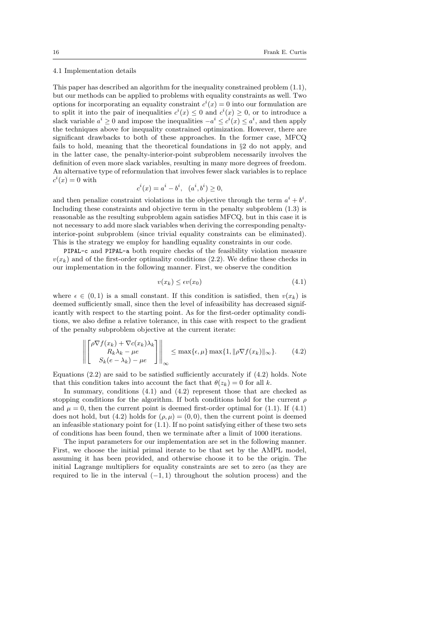#### 4.1 Implementation details

This paper has described an algorithm for the inequality constrained problem (1.1), but our methods can be applied to problems with equality constraints as well. Two options for incorporating an equality constraint  $c^{i}(x) = 0$  into our formulation are to split it into the pair of inequalities  $c^i(x) \leq 0$  and  $c^i(x) \geq 0$ , or to introduce a slack variable  $a^i \geq 0$  and impose the inequalities  $-a^i \leq c^i(x) \leq a^i$ , and then apply the techniques above for inequality constrained optimization. However, there are significant drawbacks to both of these approaches. In the former case, MFCQ fails to hold, meaning that the theoretical foundations in §2 do not apply, and in the latter case, the penalty-interior-point subproblem necessarily involves the definition of even more slack variables, resulting in many more degrees of freedom. An alternative type of reformulation that involves fewer slack variables is to replace  $c^i(x) = 0$  with

$$
c^{i}(x) = a^{i} - b^{i}, (a^{i}, b^{i}) \ge 0,
$$

and then penalize constraint violations in the objective through the term  $a^{i} + b^{i}$ . Including these constraints and objective term in the penalty subproblem  $(1.3)$  is reasonable as the resulting subproblem again satisfies MFCQ, but in this case it is not necessary to add more slack variables when deriving the corresponding penaltyinterior-point subproblem (since trivial equality constraints can be eliminated). This is the strategy we employ for handling equality constraints in our code.

PIPAL-c and PIPAL-a both require checks of the feasibility violation measure  $v(x_k)$  and of the first-order optimality conditions (2.2). We define these checks in our implementation in the following manner. First, we observe the condition

$$
v(x_k) \le \epsilon v(x_0) \tag{4.1}
$$

where  $\epsilon \in (0,1)$  is a small constant. If this condition is satisfied, then  $v(x_k)$  is deemed sufficiently small, since then the level of infeasibility has decreased significantly with respect to the starting point. As for the first-order optimality conditions, we also define a relative tolerance, in this case with respect to the gradient of the penalty subproblem objective at the current iterate:

$$
\left\| \begin{bmatrix} \rho \nabla f(x_k) + \nabla c(x_k) \lambda_k \\ R_k \lambda_k - \mu e \\ S_k(e - \lambda_k) - \mu e \end{bmatrix} \right\|_{\infty} \le \max\{\epsilon, \mu\} \max\{1, \|\rho \nabla f(x_k)\|_{\infty}\}.
$$
 (4.2)

Equations  $(2.2)$  are said to be satisfied sufficiently accurately if  $(4.2)$  holds. Note that this condition takes into account the fact that  $\theta(z_k) = 0$  for all k.

In summary, conditions (4.1) and (4.2) represent those that are checked as stopping conditions for the algorithm. If both conditions hold for the current  $\rho$ and  $\mu = 0$ , then the current point is deemed first-order optimal for (1.1). If (4.1) does not hold, but (4.2) holds for  $(\rho, \mu) = (0, 0)$ , then the current point is deemed an infeasible stationary point for  $(1.1)$ . If no point satisfying either of these two sets of conditions has been found, then we terminate after a limit of 1000 iterations.

The input parameters for our implementation are set in the following manner. First, we choose the initial primal iterate to be that set by the AMPL model, assuming it has been provided, and otherwise choose it to be the origin. The initial Lagrange multipliers for equality constraints are set to zero (as they are required to lie in the interval  $(-1, 1)$  throughout the solution process) and the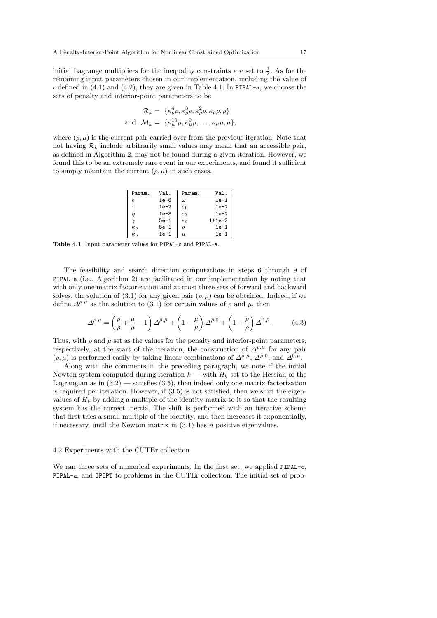initial Lagrange multipliers for the inequality constraints are set to  $\frac{1}{2}$ . As for the remaining input parameters chosen in our implementation, including the value of  $\epsilon$  defined in (4.1) and (4.2), they are given in Table 4.1. In PIPAL-a, we choose the sets of penalty and interior-point parameters to be

$$
\mathcal{R}_k = \{ \kappa_\rho^4 \rho, \kappa_\rho^3 \rho, \kappa_\rho^2 \rho, \kappa_\rho \rho, \rho \}
$$
  
and 
$$
\mathcal{M}_k = \{ \kappa_\mu^{10} \mu, \kappa_\mu^3 \mu, \dots, \kappa_\mu \mu, \mu \},
$$

where  $(\rho, \mu)$  is the current pair carried over from the previous iteration. Note that not having  $\mathcal{R}_k$  include arbitrarily small values may mean that an accessible pair, as defined in Algorithm 2, may not be found during a given iteration. However, we found this to be an extremely rare event in our experiments, and found it sufficient to simply maintain the current  $(\rho, \mu)$  in such cases.

| Param.          | Val.   | Param.       | Val.     |
|-----------------|--------|--------------|----------|
| $\epsilon$      | $1e-6$ | $\omega$     | $1e-1$   |
| $\tau$          | $1e-2$ | $\epsilon_1$ | $1e-2$   |
| $\eta$          | $1e-8$ | $\epsilon_2$ | $1e-2$   |
|                 | $5e-1$ | $\epsilon_3$ | $1+1e-2$ |
| $\kappa_{\rho}$ | $5e-1$ | ρ            | $1e-1$   |
| $\kappa_{\mu}$  | $1e-1$ | $\mu$        | $1e-1$   |

Table 4.1 Input parameter values for PIPAL-c and PIPAL-a.

The feasibility and search direction computations in steps 6 through 9 of PIPAL-a (i.e., Algorithm 2) are facilitated in our implementation by noting that with only one matrix factorization and at most three sets of forward and backward solves, the solution of (3.1) for any given pair  $(\rho, \mu)$  can be obtained. Indeed, if we define  $\Delta^{\rho,\mu}$  as the solution to (3.1) for certain values of  $\rho$  and  $\mu$ , then

$$
\Delta^{\rho,\mu} = \left(\frac{\rho}{\bar{\rho}} + \frac{\mu}{\bar{\mu}} - 1\right) \Delta^{\bar{\rho},\bar{\mu}} + \left(1 - \frac{\mu}{\bar{\mu}}\right) \Delta^{\bar{\rho},0} + \left(1 - \frac{\rho}{\bar{\rho}}\right) \Delta^{0,\bar{\mu}}.\tag{4.3}
$$

Thus, with  $\bar{\rho}$  and  $\bar{\mu}$  set as the values for the penalty and interior-point parameters, respectively, at the start of the iteration, the construction of  $\Delta^{\rho,\mu}$  for any pair  $(\rho, \mu)$  is performed easily by taking linear combinations of  $\Delta^{\bar{\rho}, \bar{\mu}}, \Delta^{\bar{\rho}, 0},$  and  $\Delta^{0, \bar{\mu}}$ .

Along with the comments in the preceding paragraph, we note if the initial Newton system computed during iteration  $k$  — with  $H_k$  set to the Hessian of the Lagrangian as in  $(3.2)$  — satisfies  $(3.5)$ , then indeed only one matrix factorization is required per iteration. However, if  $(3.5)$  is not satisfied, then we shift the eigenvalues of  $H_k$  by adding a multiple of the identity matrix to it so that the resulting system has the correct inertia. The shift is performed with an iterative scheme that first tries a small multiple of the identity, and then increases it exponentially, if necessary, until the Newton matrix in  $(3.1)$  has n positive eigenvalues.

#### 4.2 Experiments with the CUTEr collection

We ran three sets of numerical experiments. In the first set, we applied PIPAL-c, PIPAL-a, and IPOPT to problems in the CUTEr collection. The initial set of prob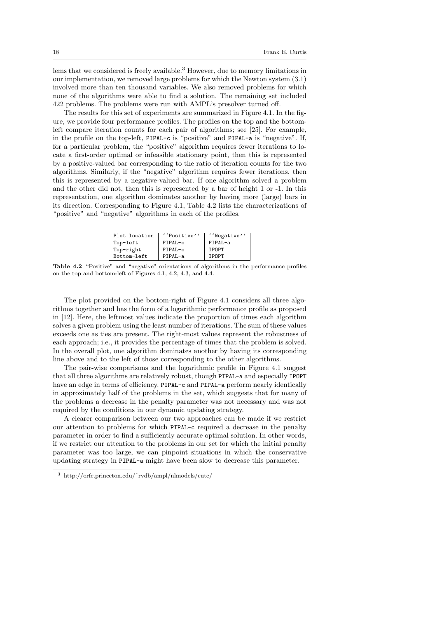lems that we considered is freely available.<sup>3</sup> However, due to memory limitations in our implementation, we removed large problems for which the Newton system (3.1) involved more than ten thousand variables. We also removed problems for which none of the algorithms were able to find a solution. The remaining set included 422 problems. The problems were run with AMPL's presolver turned off.

The results for this set of experiments are summarized in Figure 4.1. In the figure, we provide four performance profiles. The profiles on the top and the bottomleft compare iteration counts for each pair of algorithms; see [25]. For example, in the profile on the top-left, PIPAL-c is "positive" and PIPAL-a is "negative". If, for a particular problem, the "positive" algorithm requires fewer iterations to locate a first-order optimal or infeasible stationary point, then this is represented by a positive-valued bar corresponding to the ratio of iteration counts for the two algorithms. Similarly, if the "negative" algorithm requires fewer iterations, then this is represented by a negative-valued bar. If one algorithm solved a problem and the other did not, then this is represented by a bar of height 1 or -1. In this representation, one algorithm dominates another by having more (large) bars in its direction. Corresponding to Figure 4.1, Table 4.2 lists the characterizations of "positive" and "negative" algorithms in each of the profiles.

| Plot location | "Positive" | "Negative"   |
|---------------|------------|--------------|
| Top-left      | PIPAL-c    | PIPAL-a      |
| Top-right     | PIPAL-c    | <b>IPOPT</b> |
| Bottom-left   | PIPAL-a    | IPOPT        |

Table 4.2 "Positive" and "negative" orientations of algorithms in the performance profiles on the top and bottom-left of Figures 4.1, 4.2, 4.3, and 4.4.

The plot provided on the bottom-right of Figure 4.1 considers all three algorithms together and has the form of a logarithmic performance profile as proposed in [12]. Here, the leftmost values indicate the proportion of times each algorithm solves a given problem using the least number of iterations. The sum of these values exceeds one as ties are present. The right-most values represent the robustness of each approach; i.e., it provides the percentage of times that the problem is solved. In the overall plot, one algorithm dominates another by having its corresponding line above and to the left of those corresponding to the other algorithms.

The pair-wise comparisons and the logarithmic profile in Figure 4.1 suggest that all three algorithms are relatively robust, though PIPAL-a and especially IPOPT have an edge in terms of efficiency. PIPAL-c and PIPAL-a perform nearly identically in approximately half of the problems in the set, which suggests that for many of the problems a decrease in the penalty parameter was not necessary and was not required by the conditions in our dynamic updating strategy.

A clearer comparison between our two approaches can be made if we restrict our attention to problems for which PIPAL-c required a decrease in the penalty parameter in order to find a sufficiently accurate optimal solution. In other words, if we restrict our attention to the problems in our set for which the initial penalty parameter was too large, we can pinpoint situations in which the conservative updating strategy in PIPAL-a might have been slow to decrease this parameter.

<sup>3</sup> http://orfe.princeton.edu/˜rvdb/ampl/nlmodels/cute/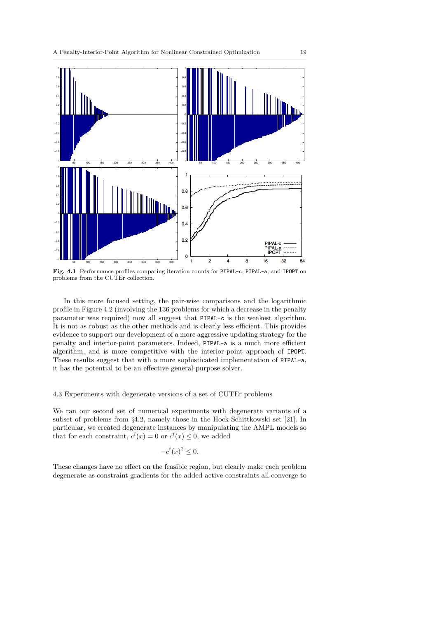

Fig. 4.1 Performance profiles comparing iteration counts for PIPAL-c, PIPAL-a, and IPOPT on problems from the CUTEr collection.

In this more focused setting, the pair-wise comparisons and the logarithmic profile in Figure 4.2 (involving the 136 problems for which a decrease in the penalty parameter was required) now all suggest that PIPAL-c is the weakest algorithm. It is not as robust as the other methods and is clearly less efficient. This provides evidence to support our development of a more aggressive updating strategy for the penalty and interior-point parameters. Indeed, PIPAL-a is a much more efficient algorithm, and is more competitive with the interior-point approach of IPOPT. These results suggest that with a more sophisticated implementation of PIPAL-a, it has the potential to be an effective general-purpose solver.

## 4.3 Experiments with degenerate versions of a set of CUTEr problems

We ran our second set of numerical experiments with degenerate variants of a subset of problems from §4.2, namely those in the Hock-Schittkowski set [21]. In particular, we created degenerate instances by manipulating the AMPL models so that for each constraint,  $c^i(x) = 0$  or  $c^i(x) \leq 0$ , we added

$$
-c^i(x)^2 \le 0.
$$

These changes have no effect on the feasible region, but clearly make each problem degenerate as constraint gradients for the added active constraints all converge to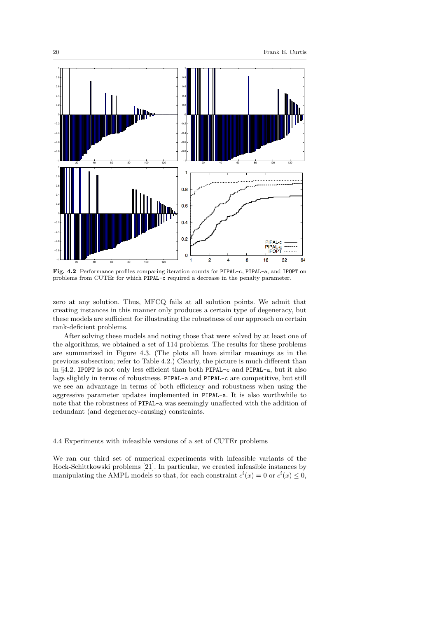

Fig. 4.2 Performance profiles comparing iteration counts for PIPAL-c, PIPAL-a, and IPOPT on problems from CUTEr for which PIPAL-c required a decrease in the penalty parameter.

zero at any solution. Thus, MFCQ fails at all solution points. We admit that creating instances in this manner only produces a certain type of degeneracy, but these models are sufficient for illustrating the robustness of our approach on certain rank-deficient problems.

After solving these models and noting those that were solved by at least one of the algorithms, we obtained a set of 114 problems. The results for these problems are summarized in Figure 4.3. (The plots all have similar meanings as in the previous subsection; refer to Table 4.2.) Clearly, the picture is much different than in §4.2. IPOPT is not only less efficient than both PIPAL-c and PIPAL-a, but it also lags slightly in terms of robustness. PIPAL-a and PIPAL-c are competitive, but still we see an advantage in terms of both efficiency and robustness when using the aggressive parameter updates implemented in PIPAL-a. It is also worthwhile to note that the robustness of PIPAL-a was seemingly unaffected with the addition of redundant (and degeneracy-causing) constraints.

## 4.4 Experiments with infeasible versions of a set of CUTEr problems

We ran our third set of numerical experiments with infeasible variants of the Hock-Schittkowski problems [21]. In particular, we created infeasible instances by manipulating the AMPL models so that, for each constraint  $c^i(x) = 0$  or  $c^i(x) \leq 0$ ,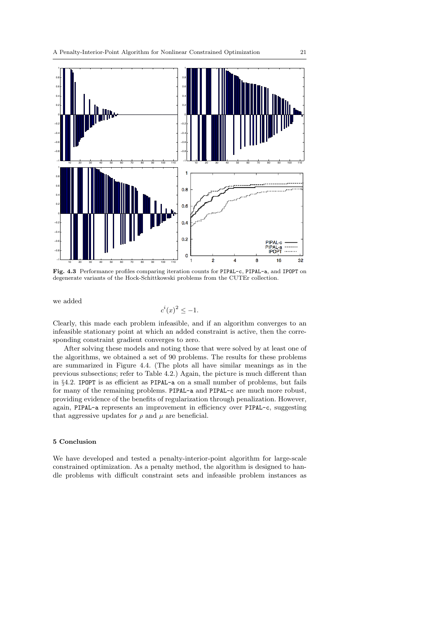

Fig. 4.3 Performance profiles comparing iteration counts for PIPAL-c, PIPAL-a, and IPOPT on degenerate variants of the Hock-Schittkowski problems from the CUTEr collection.

we added

$$
c^i(x)^2 \le -1.
$$

Clearly, this made each problem infeasible, and if an algorithm converges to an infeasible stationary point at which an added constraint is active, then the corresponding constraint gradient converges to zero.

After solving these models and noting those that were solved by at least one of the algorithms, we obtained a set of 90 problems. The results for these problems are summarized in Figure 4.4. (The plots all have similar meanings as in the previous subsections; refer to Table 4.2.) Again, the picture is much different than in §4.2. IPOPT is as efficient as PIPAL-a on a small number of problems, but fails for many of the remaining problems. PIPAL-a and PIPAL-c are much more robust, providing evidence of the benefits of regularization through penalization. However, again, PIPAL-a represents an improvement in efficiency over PIPAL-c, suggesting that aggressive updates for  $\rho$  and  $\mu$  are beneficial.

# 5 Conclusion

We have developed and tested a penalty-interior-point algorithm for large-scale constrained optimization. As a penalty method, the algorithm is designed to handle problems with difficult constraint sets and infeasible problem instances as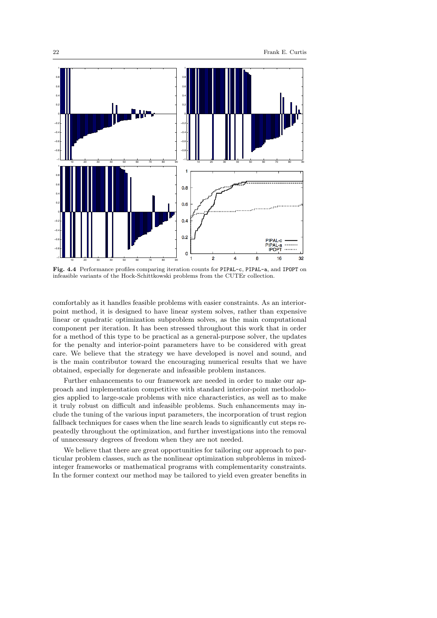

Fig. 4.4 Performance profiles comparing iteration counts for PIPAL-c, PIPAL-a, and IPOPT on infeasible variants of the Hock-Schittkowski problems from the CUTEr collection.

comfortably as it handles feasible problems with easier constraints. As an interiorpoint method, it is designed to have linear system solves, rather than expensive linear or quadratic optimization subproblem solves, as the main computational component per iteration. It has been stressed throughout this work that in order for a method of this type to be practical as a general-purpose solver, the updates for the penalty and interior-point parameters have to be considered with great care. We believe that the strategy we have developed is novel and sound, and is the main contributor toward the encouraging numerical results that we have obtained, especially for degenerate and infeasible problem instances.

Further enhancements to our framework are needed in order to make our approach and implementation competitive with standard interior-point methodologies applied to large-scale problems with nice characteristics, as well as to make it truly robust on difficult and infeasible problems. Such enhancements may include the tuning of the various input parameters, the incorporation of trust region fallback techniques for cases when the line search leads to significantly cut steps repeatedly throughout the optimization, and further investigations into the removal of unnecessary degrees of freedom when they are not needed.

We believe that there are great opportunities for tailoring our approach to particular problem classes, such as the nonlinear optimization subproblems in mixedinteger frameworks or mathematical programs with complementarity constraints. In the former context our method may be tailored to yield even greater benefits in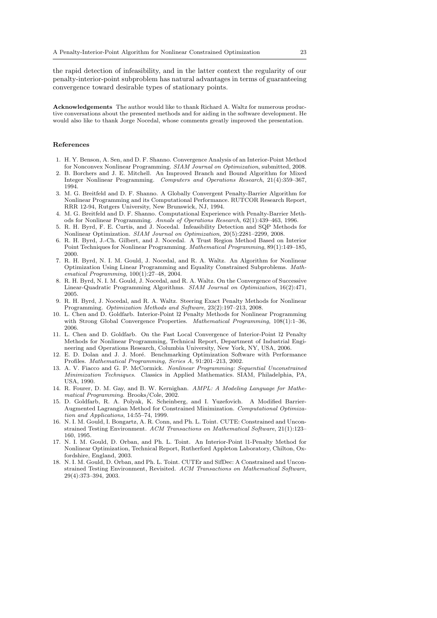the rapid detection of infeasibility, and in the latter context the regularity of our penalty-interior-point subproblem has natural advantages in terms of guaranteeing convergence toward desirable types of stationary points.

Acknowledgements The author would like to thank Richard A. Waltz for numerous productive conversations about the presented methods and for aiding in the software development. He would also like to thank Jorge Nocedal, whose comments greatly improved the presentation.

## References

- 1. H. Y. Benson, A. Sen, and D. F. Shanno. Convergence Analysis of an Interior-Point Method for Nonconvex Nonlinear Programming. SIAM Journal on Optimization, submitted, 2008.
- 2. B. Borchers and J. E. Mitchell. An Improved Branch and Bound Algorithm for Mixed Integer Nonlinear Programming. Computers and Operations Research, 21(4):359–367, 1994.
- 3. M. G. Breitfeld and D. F. Shanno. A Globally Convergent Penalty-Barrier Algorithm for Nonlinear Programming and its Computational Performance. RUTCOR Research Report, RRR 12-94, Rutgers University, New Brunswick, NJ, 1994.
- 4. M. G. Breitfeld and D. F. Shanno. Computational Experience with Penalty-Barrier Methods for Nonlinear Programming. Annals of Operations Research, 62(1):439–463, 1996.
- 5. R. H. Byrd, F. E. Curtis, and J. Nocedal. Infeasibility Detection and SQP Methods for Nonlinear Optimization. SIAM Journal on Optimization, 20(5):2281–2299, 2008.
- 6. R. H. Byrd, J.-Ch. Gilbert, and J. Nocedal. A Trust Region Method Based on Interior Point Techniques for Nonlinear Programming. Mathematical Programming, 89(1):149–185, 2000.
- 7. R. H. Byrd, N. I. M. Gould, J. Nocedal, and R. A. Waltz. An Algorithm for Nonlinear Optimization Using Linear Programming and Equality Constrained Subproblems. Mathematical Programming, 100(1):27–48, 2004.
- 8. R. H. Byrd, N. I. M. Gould, J. Nocedal, and R. A. Waltz. On the Convergence of Successive Linear-Quadratic Programming Algorithms. SIAM Journal on Optimization, 16(2):471, 2005.
- 9. R. H. Byrd, J. Nocedal, and R. A. Waltz. Steering Exact Penalty Methods for Nonlinear Programming. Optimization Methods and Software, 23(2):197–213, 2008.
- 10. L. Chen and D. Goldfarb. Interior-Point l2 Penalty Methods for Nonlinear Programming with Strong Global Convergence Properties. Mathematical Programming,  $108(1)$ :1–36, 2006.
- 11. L. Chen and D. Goldfarb. On the Fast Local Convergence of Interior-Point l2 Penalty Methods for Nonlinear Programming, Technical Report, Department of Industrial Engineering and Operations Research, Columbia University, New York, NY, USA, 2006.
- 12. E. D. Dolan and J. J. Moré. Benchmarking Optimization Software with Performance Profiles. Mathematical Programming, Series A, 91:201–213, 2002.
- 13. A. V. Fiacco and G. P. McCormick. Nonlinear Programming: Sequential Unconstrained Minimization Techniques. Classics in Applied Mathematics. SIAM, Philadelphia, PA, USA, 1990.
- 14. R. Fourer, D. M. Gay, and B. W. Kernighan. AMPL: A Modeling Language for Mathematical Programming. Brooks/Cole, 2002.
- 15. D. Goldfarb, R. A. Polyak, K. Scheinberg, and I. Yuzefovich. A Modified Barrier-Augmented Lagrangian Method for Constrained Minimization. Computational Optimization and Applications, 14:55–74, 1999.
- 16. N. I. M. Gould, I. Bongartz, A. R. Conn, and Ph. L. Toint. CUTE: Constrained and Unconstrained Testing Environment. ACM Transactions on Mathematical Software, 21(1):123– 160, 1995.
- 17. N. I. M. Gould, D. Orban, and Ph. L. Toint. An Interior-Point l1-Penalty Method for Nonlinear Optimization, Technical Report, Rutherford Appleton Laboratory, Chilton, Oxfordshire, England, 2003.
- 18. N. I. M. Gould, D. Orban, and Ph. L. Toint. CUTEr and SifDec: A Constrained and Unconstrained Testing Environment, Revisited. ACM Transactions on Mathematical Software, 29(4):373–394, 2003.